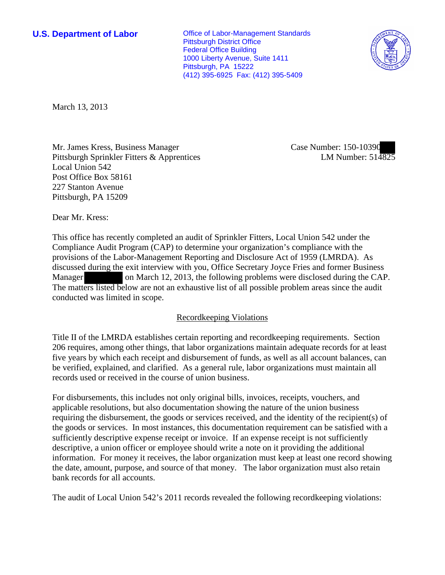**U.S. Department of Labor Conservative Conservative Conservative Conservative Conservative Conservative Conservative Conservative Conservative Conservative Conservative Conservative Conservative Conservative Conservative** Pittsburgh District Office Federal Office Building 1000 Liberty Avenue, Suite 1411 Pittsburgh, PA 15222 (412) 395-6925 Fax: (412) 395-5409



March 13, 2013

Mr. James Kress, Business Manager Pittsburgh Sprinkler Fitters & Apprentices Local Union 542 Post Office Box 58161 227 Stanton Avenue Pittsburgh, PA 15209

Case Number: 150-10390 LM Number: 514825

Dear Mr. Kress:

This office has recently completed an audit of Sprinkler Fitters, Local Union 542 under the Compliance Audit Program (CAP) to determine your organization's compliance with the provisions of the Labor-Management Reporting and Disclosure Act of 1959 (LMRDA). As discussed during the exit interview with you, Office Secretary Joyce Fries and former Business Manager on March 12, 2013, the following problems were disclosed during the CAP. The matters listed below are not an exhaustive list of all possible problem areas since the audit conducted was limited in scope.

## Recordkeeping Violations

Title II of the LMRDA establishes certain reporting and recordkeeping requirements. Section 206 requires, among other things, that labor organizations maintain adequate records for at least five years by which each receipt and disbursement of funds, as well as all account balances, can be verified, explained, and clarified. As a general rule, labor organizations must maintain all records used or received in the course of union business.

For disbursements, this includes not only original bills, invoices, receipts, vouchers, and applicable resolutions, but also documentation showing the nature of the union business requiring the disbursement, the goods or services received, and the identity of the recipient(s) of the goods or services. In most instances, this documentation requirement can be satisfied with a sufficiently descriptive expense receipt or invoice. If an expense receipt is not sufficiently descriptive, a union officer or employee should write a note on it providing the additional information. For money it receives, the labor organization must keep at least one record showing the date, amount, purpose, and source of that money. The labor organization must also retain bank records for all accounts.

The audit of Local Union 542's 2011 records revealed the following recordkeeping violations: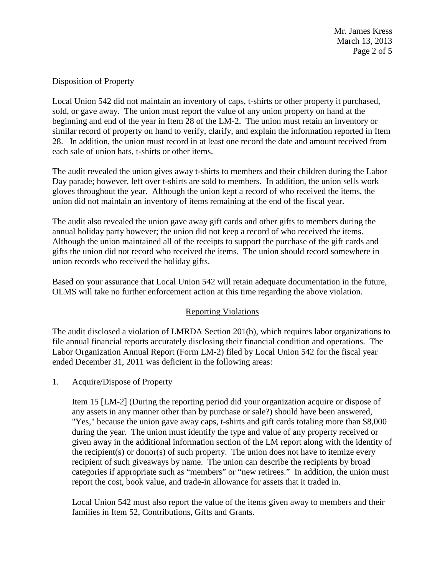Mr. James Kress March 13, 2013 Page 2 of 5

# Disposition of Property

Local Union 542 did not maintain an inventory of caps, t-shirts or other property it purchased, sold, or gave away. The union must report the value of any union property on hand at the beginning and end of the year in Item 28 of the LM-2. The union must retain an inventory or similar record of property on hand to verify, clarify, and explain the information reported in Item 28. In addition, the union must record in at least one record the date and amount received from each sale of union hats, t-shirts or other items.

The audit revealed the union gives away t-shirts to members and their children during the Labor Day parade; however, left over t-shirts are sold to members. In addition, the union sells work gloves throughout the year. Although the union kept a record of who received the items, the union did not maintain an inventory of items remaining at the end of the fiscal year.

The audit also revealed the union gave away gift cards and other gifts to members during the annual holiday party however; the union did not keep a record of who received the items. Although the union maintained all of the receipts to support the purchase of the gift cards and gifts the union did not record who received the items. The union should record somewhere in union records who received the holiday gifts.

Based on your assurance that Local Union 542 will retain adequate documentation in the future, OLMS will take no further enforcement action at this time regarding the above violation.

## Reporting Violations

The audit disclosed a violation of LMRDA Section 201(b), which requires labor organizations to file annual financial reports accurately disclosing their financial condition and operations. The Labor Organization Annual Report (Form LM-2) filed by Local Union 542 for the fiscal year ended December 31, 2011 was deficient in the following areas:

1. Acquire/Dispose of Property

Item 15 [LM-2] (During the reporting period did your organization acquire or dispose of any assets in any manner other than by purchase or sale?) should have been answered, "Yes," because the union gave away caps, t-shirts and gift cards totaling more than \$8,000 during the year. The union must identify the type and value of any property received or given away in the additional information section of the LM report along with the identity of the recipient(s) or donor(s) of such property. The union does not have to itemize every recipient of such giveaways by name. The union can describe the recipients by broad categories if appropriate such as "members" or "new retirees." In addition, the union must report the cost, book value, and trade-in allowance for assets that it traded in.

Local Union 542 must also report the value of the items given away to members and their families in Item 52, Contributions, Gifts and Grants.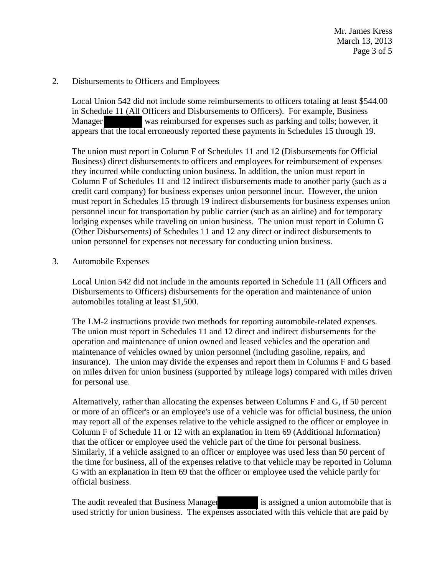Mr. James Kress March 13, 2013 Page 3 of 5

### 2. Disbursements to Officers and Employees

Local Union 542 did not include some reimbursements to officers totaling at least \$544.00 in Schedule 11 (All Officers and Disbursements to Officers). For example, Business Manager was reimbursed for expenses such as parking and tolls; however, it appears that the local erroneously reported these payments in Schedules 15 through 19.

The union must report in Column F of Schedules 11 and 12 (Disbursements for Official Business) direct disbursements to officers and employees for reimbursement of expenses they incurred while conducting union business. In addition, the union must report in Column F of Schedules 11 and 12 indirect disbursements made to another party (such as a credit card company) for business expenses union personnel incur. However, the union must report in Schedules 15 through 19 indirect disbursements for business expenses union personnel incur for transportation by public carrier (such as an airline) and for temporary lodging expenses while traveling on union business. The union must report in Column G (Other Disbursements) of Schedules 11 and 12 any direct or indirect disbursements to union personnel for expenses not necessary for conducting union business.

### 3. Automobile Expenses

Local Union 542 did not include in the amounts reported in Schedule 11 (All Officers and Disbursements to Officers) disbursements for the operation and maintenance of union automobiles totaling at least \$1,500.

The LM-2 instructions provide two methods for reporting automobile-related expenses. The union must report in Schedules 11 and 12 direct and indirect disbursements for the operation and maintenance of union owned and leased vehicles and the operation and maintenance of vehicles owned by union personnel (including gasoline, repairs, and insurance). The union may divide the expenses and report them in Columns F and G based on miles driven for union business (supported by mileage logs) compared with miles driven for personal use.

Alternatively, rather than allocating the expenses between Columns F and G, if 50 percent or more of an officer's or an employee's use of a vehicle was for official business, the union may report all of the expenses relative to the vehicle assigned to the officer or employee in Column F of Schedule 11 or 12 with an explanation in Item 69 (Additional Information) that the officer or employee used the vehicle part of the time for personal business. Similarly, if a vehicle assigned to an officer or employee was used less than 50 percent of the time for business, all of the expenses relative to that vehicle may be reported in Column G with an explanation in Item 69 that the officer or employee used the vehicle partly for official business.

The audit revealed that Business Manager is assigned a union automobile that is used strictly for union business. The expenses associated with this vehicle that are paid by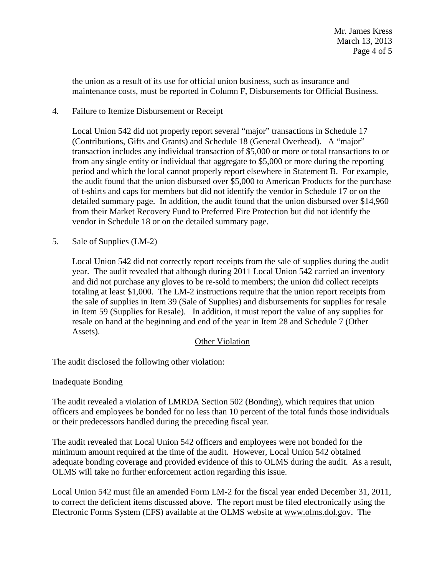the union as a result of its use for official union business, such as insurance and maintenance costs, must be reported in Column F, Disbursements for Official Business.

4. Failure to Itemize Disbursement or Receipt

Local Union 542 did not properly report several "major" transactions in Schedule 17 (Contributions, Gifts and Grants) and Schedule 18 (General Overhead). A "major" transaction includes any individual transaction of \$5,000 or more or total transactions to or from any single entity or individual that aggregate to \$5,000 or more during the reporting period and which the local cannot properly report elsewhere in Statement B. For example, the audit found that the union disbursed over \$5,000 to American Products for the purchase of t-shirts and caps for members but did not identify the vendor in Schedule 17 or on the detailed summary page. In addition, the audit found that the union disbursed over \$14,960 from their Market Recovery Fund to Preferred Fire Protection but did not identify the vendor in Schedule 18 or on the detailed summary page.

5. Sale of Supplies (LM-2)

Local Union 542 did not correctly report receipts from the sale of supplies during the audit year. The audit revealed that although during 2011 Local Union 542 carried an inventory and did not purchase any gloves to be re-sold to members; the union did collect receipts totaling at least \$1,000. The LM-2 instructions require that the union report receipts from the sale of supplies in Item 39 (Sale of Supplies) and disbursements for supplies for resale in Item 59 (Supplies for Resale). In addition, it must report the value of any supplies for resale on hand at the beginning and end of the year in Item 28 and Schedule 7 (Other Assets).

## Other Violation

The audit disclosed the following other violation:

Inadequate Bonding

 The audit revealed a violation of LMRDA Section 502 (Bonding), which requires that union officers and employees be bonded for no less than 10 percent of the total funds those individuals or their predecessors handled during the preceding fiscal year.

 The audit revealed that Local Union 542 officers and employees were not bonded for the minimum amount required at the time of the audit. However, Local Union 542 obtained adequate bonding coverage and provided evidence of this to OLMS during the audit. As a result, OLMS will take no further enforcement action regarding this issue.

Local Union 542 must file an amended Form LM-2 for the fiscal year ended December 31, 2011, to correct the deficient items discussed above. The report must be filed electronically using the Electronic Forms System (EFS) available at the OLMS website at [www.olms.dol.gov.](http://www.olms.dol.gov/) The